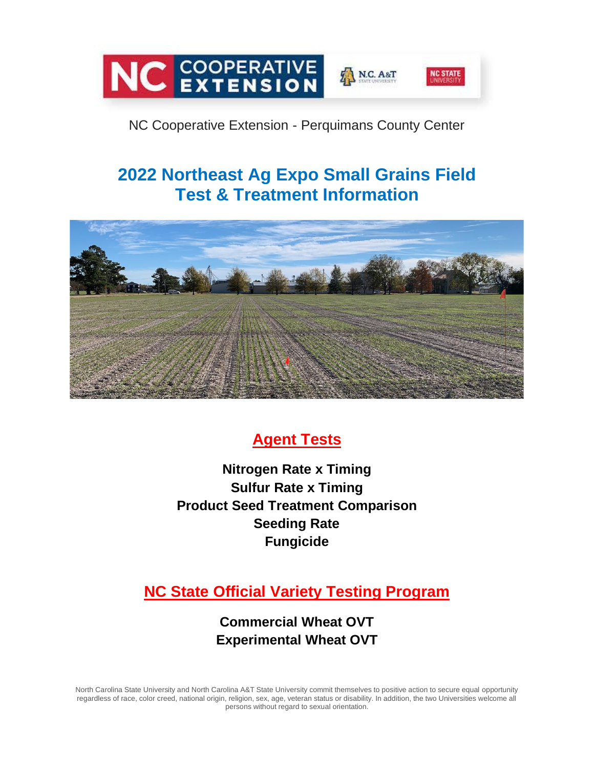

## NC Cooperative Extension - Perquimans County Center

# **2022 Northeast Ag Expo Small Grains Field Test & Treatment Information**



## **Agent Tests**

**Nitrogen Rate x Timing Sulfur Rate x Timing Product Seed Treatment Comparison Seeding Rate Fungicide**

## **NC State Official Variety Testing Program**

**Commercial Wheat OVT Experimental Wheat OVT**

North Carolina State University and North Carolina A&T State University commit themselves to positive action to secure equal opportunity regardless of race, color creed, national origin, religion, sex, age, veteran status or disability. In addition, the two Universities welcome all persons without regard to sexual orientation.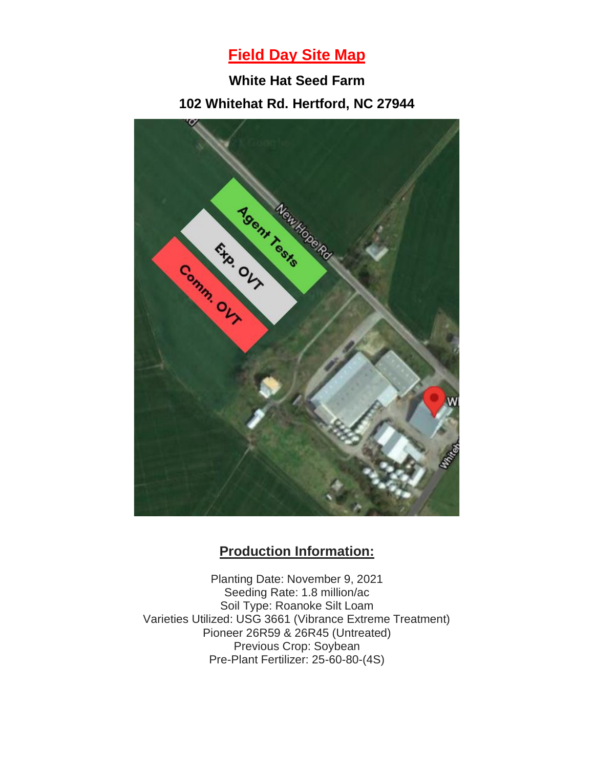## **Field Day Site Map**

**White Hat Seed Farm 102 Whitehat Rd. Hertford, NC 27944**



### **Production Information:**

Planting Date: November 9, 2021 Seeding Rate: 1.8 million/ac Soil Type: Roanoke Silt Loam Varieties Utilized: USG 3661 (Vibrance Extreme Treatment) Pioneer 26R59 & 26R45 (Untreated) Previous Crop: Soybean Pre-Plant Fertilizer: 25-60-80-(4S)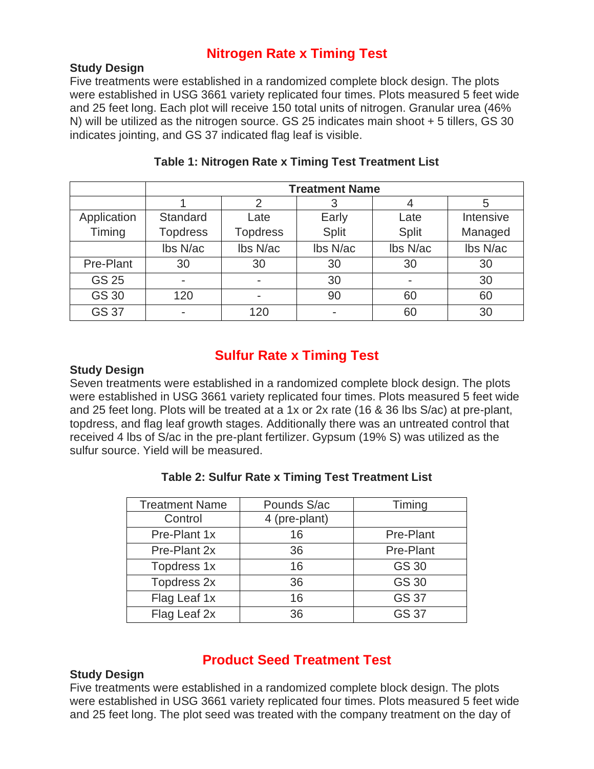### **Nitrogen Rate x Timing Test**

#### **Study Design**

Five treatments were established in a randomized complete block design. The plots were established in USG 3661 variety replicated four times. Plots measured 5 feet wide and 25 feet long. Each plot will receive 150 total units of nitrogen. Granular urea (46% N) will be utilized as the nitrogen source. GS 25 indicates main shoot + 5 tillers, GS 30 indicates jointing, and GS 37 indicated flag leaf is visible.

|              | <b>Treatment Name</b> |                 |              |              |           |
|--------------|-----------------------|-----------------|--------------|--------------|-----------|
|              |                       |                 |              |              | 5         |
| Application  | Standard              | Late            | Early        | Late         | Intensive |
| Timing       | <b>Topdress</b>       | <b>Topdress</b> | <b>Split</b> | <b>Split</b> | Managed   |
|              | Ibs N/ac              | Ibs N/ac        | Ibs N/ac     | Ibs N/ac     | Ibs N/ac  |
| Pre-Plant    | 30                    | 30              | 30           | 30           | 30        |
| <b>GS 25</b> |                       |                 | 30           |              | 30        |
| <b>GS 30</b> | 120                   |                 | 90           | 60           | 60        |
| <b>GS 37</b> |                       | 120             |              | 60           | 30        |

#### **Table 1: Nitrogen Rate x Timing Test Treatment List**

## **Sulfur Rate x Timing Test**

#### **Study Design**

Seven treatments were established in a randomized complete block design. The plots were established in USG 3661 variety replicated four times. Plots measured 5 feet wide and 25 feet long. Plots will be treated at a 1x or 2x rate (16 & 36 lbs S/ac) at pre-plant, topdress, and flag leaf growth stages. Additionally there was an untreated control that received 4 lbs of S/ac in the pre-plant fertilizer. Gypsum (19% S) was utilized as the sulfur source. Yield will be measured.

| <b>Treatment Name</b> | Pounds S/ac   | Timing       |
|-----------------------|---------------|--------------|
| Control               | 4 (pre-plant) |              |
| Pre-Plant 1x          | 16            | Pre-Plant    |
| Pre-Plant 2x          | 36            | Pre-Plant    |
| Topdress 1x           | 16            | <b>GS 30</b> |
| Topdress 2x           | 36            | <b>GS 30</b> |
| Flag Leaf 1x          | 16            | <b>GS 37</b> |
| Flag Leaf 2x          | 36            | <b>GS 37</b> |

#### **Table 2: Sulfur Rate x Timing Test Treatment List**

#### **Product Seed Treatment Test**

#### **Study Design**

Five treatments were established in a randomized complete block design. The plots were established in USG 3661 variety replicated four times. Plots measured 5 feet wide and 25 feet long. The plot seed was treated with the company treatment on the day of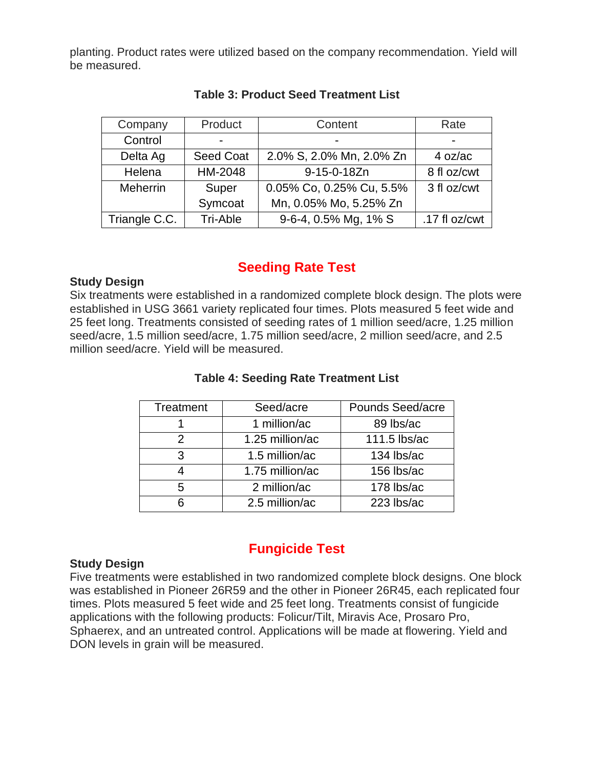planting. Product rates were utilized based on the company recommendation. Yield will be measured.

| Company       | Product          | Content                  | Rate          |
|---------------|------------------|--------------------------|---------------|
| Control       |                  |                          |               |
| Delta Ag      | <b>Seed Coat</b> | 2.0% S, 2.0% Mn, 2.0% Zn | 4 oz/ac       |
| Helena        | HM-2048          | 9-15-0-18Zn              | 8 fl oz/cwt   |
| Meherrin      | Super            | 0.05% Co, 0.25% Cu, 5.5% | 3 fl oz/cwt   |
|               | Symcoat          | Mn, 0.05% Mo, 5.25% Zn   |               |
| Triangle C.C. | Tri-Able         | 9-6-4, 0.5% Mg, 1% S     | .17 fl oz/cwt |

#### **Table 3: Product Seed Treatment List**

## **Seeding Rate Test**

#### **Study Design**

Six treatments were established in a randomized complete block design. The plots were established in USG 3661 variety replicated four times. Plots measured 5 feet wide and 25 feet long. Treatments consisted of seeding rates of 1 million seed/acre, 1.25 million seed/acre, 1.5 million seed/acre, 1.75 million seed/acre, 2 million seed/acre, and 2.5 million seed/acre. Yield will be measured.

#### **Table 4: Seeding Rate Treatment List**

| <b>Treatment</b> | Seed/acre       | Pounds Seed/acre |
|------------------|-----------------|------------------|
|                  | 1 million/ac    | 89 lbs/ac        |
| 2                | 1.25 million/ac | 111.5 lbs/ac     |
| 3                | 1.5 million/ac  | 134 lbs/ac       |
|                  | 1.75 million/ac | 156 lbs/ac       |
| 5.               | 2 million/ac    | 178 lbs/ac       |
|                  | 2.5 million/ac  | 223 lbs/ac       |

#### **Study Design**

Five treatments were established in two randomized complete block designs. One block was established in Pioneer 26R59 and the other in Pioneer 26R45, each replicated four times. Plots measured 5 feet wide and 25 feet long. Treatments consist of fungicide applications with the following products: Folicur/Tilt, Miravis Ace, Prosaro Pro, Sphaerex, and an untreated control. Applications will be made at flowering. Yield and DON levels in grain will be measured.

## **Fungicide Test**